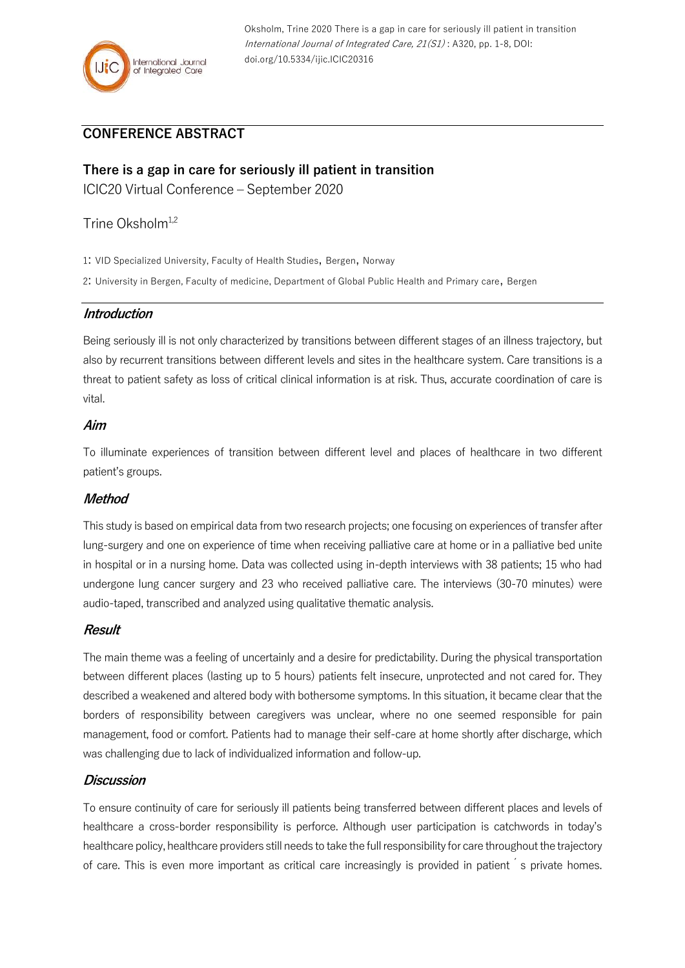# **CONFERENCE ABSTRACT**

## **There is a gap in care for seriously ill patient in transition**

ICIC20 Virtual Conference – September 2020

Trine Oksholm<sup>1,2</sup>

1: VID Specialized University, Faculty of Health Studies, Bergen, Norway

2: University in Bergen, Faculty of medicine, Department of Global Public Health and Primary care, Bergen

### **Introduction**

Being seriously ill is not only characterized by transitions between different stages of an illness trajectory, but also by recurrent transitions between different levels and sites in the healthcare system. Care transitions is a threat to patient safety as loss of critical clinical information is at risk. Thus, accurate coordination of care is vital.

### **Aim**

To illuminate experiences of transition between different level and places of healthcare in two different patient's groups.

## **Method**

This study is based on empirical data from two research projects; one focusing on experiences of transfer after lung-surgery and one on experience of time when receiving palliative care at home or in a palliative bed unite in hospital or in a nursing home. Data was collected using in-depth interviews with 38 patients; 15 who had undergone lung cancer surgery and 23 who received palliative care. The interviews (30-70 minutes) were audio-taped, transcribed and analyzed using qualitative thematic analysis.

## **Result**

The main theme was a feeling of uncertainly and a desire for predictability. During the physical transportation between different places (lasting up to 5 hours) patients felt insecure, unprotected and not cared for. They described a weakened and altered body with bothersome symptoms. In this situation, it became clear that the borders of responsibility between caregivers was unclear, where no one seemed responsible for pain management, food or comfort. Patients had to manage their self-care at home shortly after discharge, which was challenging due to lack of individualized information and follow-up.

#### **Discussion**

To ensure continuity of care for seriously ill patients being transferred between different places and levels of healthcare a cross-border responsibility is perforce. Although user participation is catchwords in today's healthcare policy, healthcare providers still needs to take the full responsibility for care throughout the trajectory of care. This is even more important as critical care increasingly is provided in patient <sup>'</sup>s private homes.